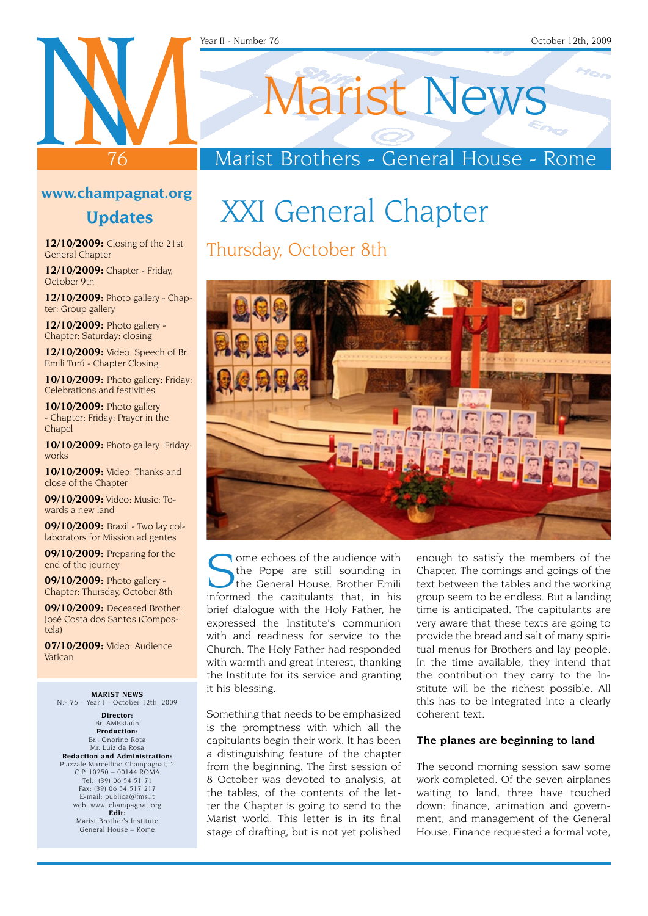#### Year II - Number 76 October 12th, 2009

### **www.champagnat.org**

76

### **Updates**

**12/10/2009:** Closing of the 21st General Chapter

**12/10/2009:** Chapter - Friday, October 9th

**12/10/2009:** Photo gallery - Chapter: Group gallery

**12/10/2009:** Photo gallery - Chapter: Saturday: closing

**12/10/2009:** Video: Speech of Br. Emili Turú - Chapter Closing

**10/10/2009:** Photo gallery: Friday: Celebrations and festivities

**10/10/2009:** Photo gallery - Chapter: Friday: Prayer in the Chapel

**10/10/2009:** Photo gallery: Friday: works

**10/10/2009:** Video: Thanks and close of the Chapter

**09/10/2009:** Video: Music: Towards a new land

**09/10/2009:** Brazil - Two lay collaborators for Mission ad gentes

**09/10/2009:** Preparing for the end of the journey

**09/10/2009:** Photo gallery - Chapter: Thursday, October 8th

**09/10/2009:** Deceased Brother: José Costa dos Santos (Compostela)

**07/10/2009:** Video: Audience Vatican

**MARIST NEWS** N.º 76 – Year I – October 12th, 2009

**Director:** Br. AMEstaún **Production:** Br.. Onorino Rota Mr. Luiz da Rosa **Redaction and Administration:** Piazzale Marcellino Champagnat, 2 C.P. 10250 – 00144 ROMA Tel.: (39) 06 54 51 71 Fax: (39) 06 54 517 217 E-mail: publica@fms.it web: www. champagnat.org **Edit:** Marist Brother's Institute General House – Rome

# Marist News

### Marist Brothers - General House - Rome

# XXI General Chapter

### Thursday, October 8th



ome echoes of the audience with the Pope are still sounding in the General House. Brother Emili informed the capitulants that, in his brief dialogue with the Holy Father, he expressed the Institute's communion with and readiness for service to the Church. The Holy Father had responded with warmth and great interest, thanking the Institute for its service and granting it his blessing.

Something that needs to be emphasized is the promptness with which all the capitulants begin their work. It has been a distinguishing feature of the chapter from the beginning. The first session of 8 October was devoted to analysis, at the tables, of the contents of the letter the Chapter is going to send to the Marist world. This letter is in its final stage of drafting, but is not yet polished

enough to satisfy the members of the Chapter. The comings and goings of the text between the tables and the working group seem to be endless. But a landing time is anticipated. The capitulants are very aware that these texts are going to provide the bread and salt of many spiritual menus for Brothers and lay people. In the time available, they intend that the contribution they carry to the Institute will be the richest possible. All this has to be integrated into a clearly coherent text.

### **The planes are beginning to land**

The second morning session saw some work completed. Of the seven airplanes waiting to land, three have touched down: finance, animation and government, and management of the General House. Finance requested a formal vote,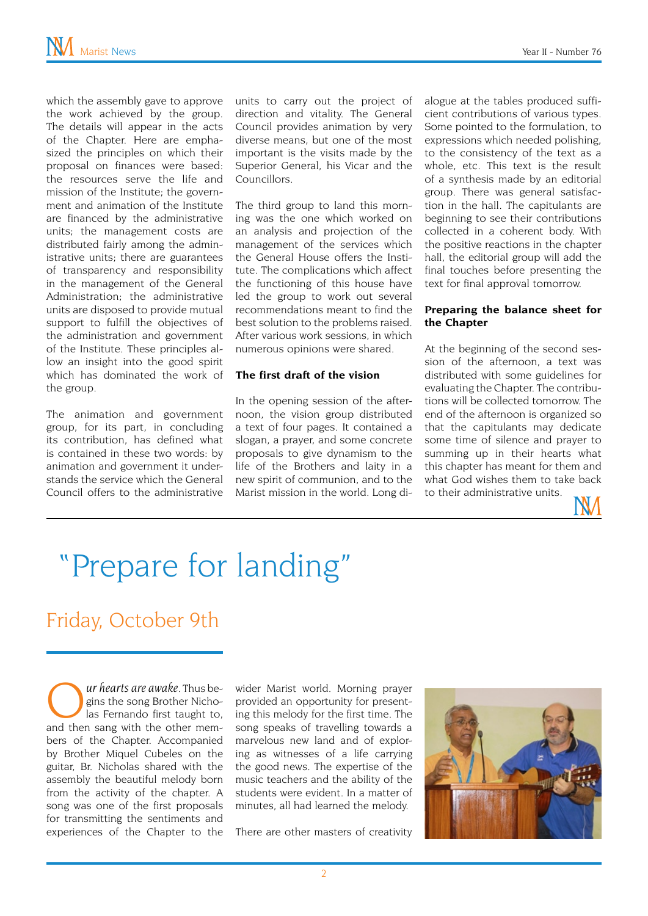which the assembly gave to approve the work achieved by the group. The details will appear in the acts of the Chapter. Here are emphasized the principles on which their proposal on finances were based: the resources serve the life and mission of the Institute; the government and animation of the Institute are financed by the administrative units; the management costs are distributed fairly among the administrative units; there are guarantees of transparency and responsibility in the management of the General Administration; the administrative units are disposed to provide mutual support to fulfill the objectives of the administration and government of the Institute. These principles allow an insight into the good spirit which has dominated the work of the group.

The animation and government group, for its part, in concluding its contribution, has defined what is contained in these two words: by animation and government it understands the service which the General Council offers to the administrative units to carry out the project of direction and vitality. The General Council provides animation by very diverse means, but one of the most important is the visits made by the Superior General, his Vicar and the Councillors.

The third group to land this morning was the one which worked on an analysis and projection of the management of the services which the General House offers the Institute. The complications which affect the functioning of this house have led the group to work out several recommendations meant to find the best solution to the problems raised. After various work sessions, in which numerous opinions were shared.

### **The first draft of the vision**

In the opening session of the afternoon, the vision group distributed a text of four pages. It contained a slogan, a prayer, and some concrete proposals to give dynamism to the life of the Brothers and laity in a new spirit of communion, and to the Marist mission in the world. Long di-

alogue at the tables produced sufficient contributions of various types. Some pointed to the formulation, to expressions which needed polishing, to the consistency of the text as a whole, etc. This text is the result of a synthesis made by an editorial group. There was general satisfaction in the hall. The capitulants are beginning to see their contributions collected in a coherent body. With the positive reactions in the chapter hall, the editorial group will add the final touches before presenting the text for final approval tomorrow.

### **Preparing the balance sheet for the Chapter**

At the beginning of the second session of the afternoon, a text was distributed with some guidelines for evaluating the Chapter. The contributions will be collected tomorrow. The end of the afternoon is organized so that the capitulants may dedicate some time of silence and prayer to summing up in their hearts what this chapter has meant for them and what God wishes them to take back to their administrative units.



# "Prepare for landing"

## Friday, October 9th

*ur hearts are awake*. Thus begins the song Brother Nicholas Fernando first taught to, and then sang with the other members of the Chapter. Accompanied by Brother Miquel Cubeles on the guitar, Br. Nicholas shared with the assembly the beautiful melody born from the activity of the chapter. A song was one of the first proposals for transmitting the sentiments and experiences of the Chapter to the

wider Marist world. Morning prayer provided an opportunity for presenting this melody for the first time. The song speaks of travelling towards a marvelous new land and of exploring as witnesses of a life carrying the good news. The expertise of the music teachers and the ability of the students were evident. In a matter of minutes, all had learned the melody.

There are other masters of creativity

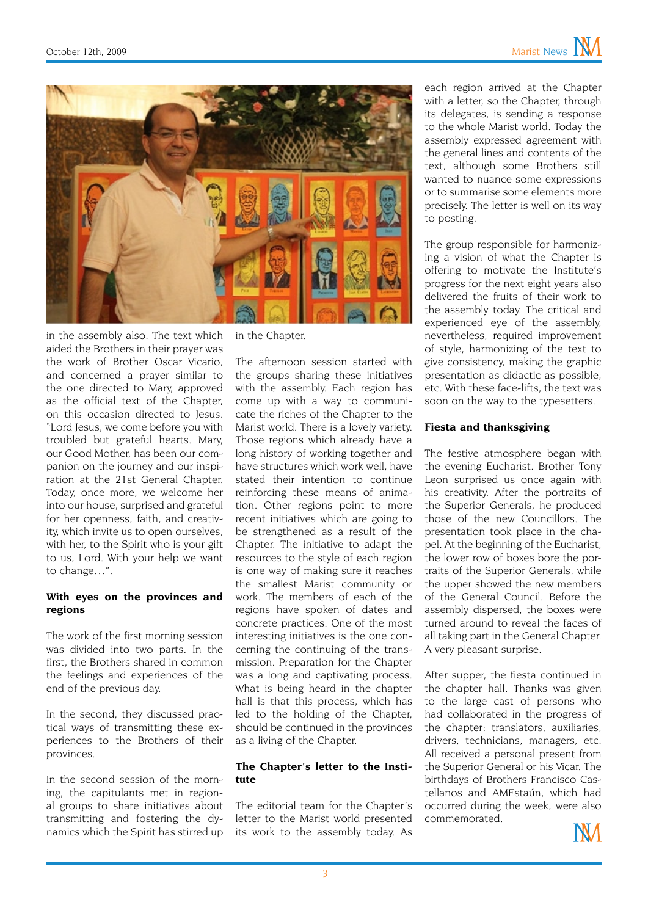

in the assembly also. The text which aided the Brothers in their prayer was the work of Brother Oscar Vicario, and concerned a prayer similar to the one directed to Mary, approved as the official text of the Chapter, on this occasion directed to Jesus. "Lord Jesus, we come before you with troubled but grateful hearts. Mary, our Good Mother, has been our companion on the journey and our inspiration at the 21st General Chapter. Today, once more, we welcome her into our house, surprised and grateful for her openness, faith, and creativity, which invite us to open ourselves, with her, to the Spirit who is your gift to us, Lord. With your help we want to change…".

### **With eyes on the provinces and regions**

The work of the first morning session was divided into two parts. In the first, the Brothers shared in common the feelings and experiences of the end of the previous day.

In the second, they discussed practical ways of transmitting these experiences to the Brothers of their provinces.

In the second session of the morning, the capitulants met in regional groups to share initiatives about transmitting and fostering the dynamics which the Spirit has stirred up in the Chapter.

The afternoon session started with the groups sharing these initiatives with the assembly. Each region has come up with a way to communicate the riches of the Chapter to the Marist world. There is a lovely variety. Those regions which already have a long history of working together and have structures which work well, have stated their intention to continue reinforcing these means of animation. Other regions point to more recent initiatives which are going to be strengthened as a result of the Chapter. The initiative to adapt the resources to the style of each region is one way of making sure it reaches the smallest Marist community or work. The members of each of the regions have spoken of dates and concrete practices. One of the most interesting initiatives is the one concerning the continuing of the transmission. Preparation for the Chapter was a long and captivating process. What is being heard in the chapter hall is that this process, which has led to the holding of the Chapter, should be continued in the provinces as a living of the Chapter.

### **The Chapter's letter to the Institute**

The editorial team for the Chapter's letter to the Marist world presented its work to the assembly today. As

each region arrived at the Chapter with a letter, so the Chapter, through its delegates, is sending a response to the whole Marist world. Today the assembly expressed agreement with the general lines and contents of the text, although some Brothers still wanted to nuance some expressions or to summarise some elements more precisely. The letter is well on its way to posting.

The group responsible for harmonizing a vision of what the Chapter is offering to motivate the Institute's progress for the next eight years also delivered the fruits of their work to the assembly today. The critical and experienced eye of the assembly, nevertheless, required improvement of style, harmonizing of the text to give consistency, making the graphic presentation as didactic as possible, etc. With these face-lifts, the text was soon on the way to the typesetters.

#### **Fiesta and thanksgiving**

The festive atmosphere began with the evening Eucharist. Brother Tony Leon surprised us once again with his creativity. After the portraits of the Superior Generals, he produced those of the new Councillors. The presentation took place in the chapel. At the beginning of the Eucharist, the lower row of boxes bore the portraits of the Superior Generals, while the upper showed the new members of the General Council. Before the assembly dispersed, the boxes were turned around to reveal the faces of all taking part in the General Chapter. A very pleasant surprise.

After supper, the fiesta continued in the chapter hall. Thanks was given to the large cast of persons who had collaborated in the progress of the chapter: translators, auxiliaries, drivers, technicians, managers, etc. All received a personal present from the Superior General or his Vicar. The birthdays of Brothers Francisco Castellanos and AMEstaún, which had occurred during the week, were also commemorated.

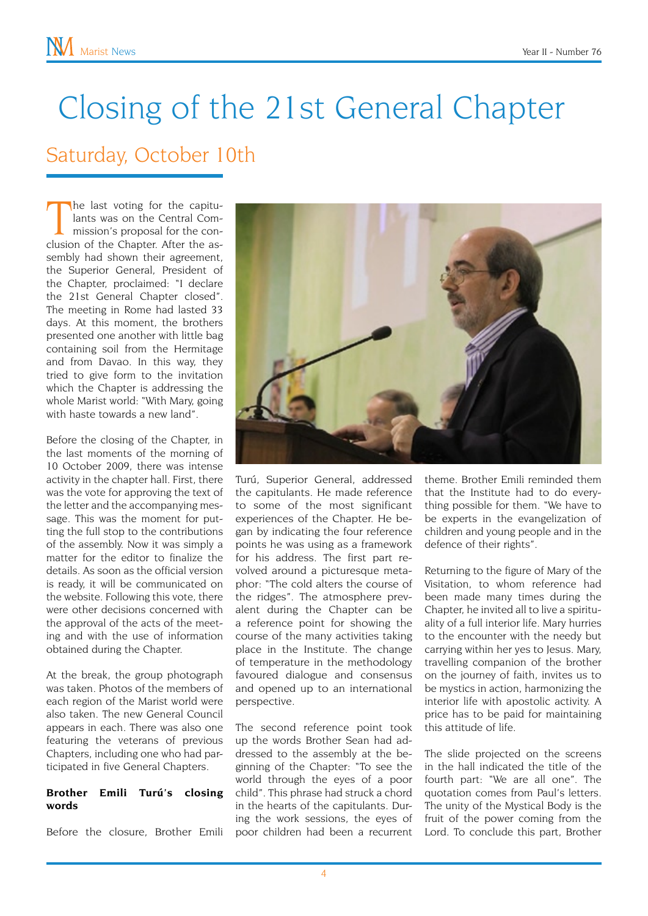# Closing of the 21st General Chapter

### Saturday, October 10th

The last voting for the capitu-<br>lants was on the Central Com-<br>mission's proposal for the con-<br>clusion of the Chapter. After the ashe last voting for the capitulants was on the Central Commission's proposal for the consembly had shown their agreement, the Superior General, President of the Chapter, proclaimed: "I declare the 21st General Chapter closed". The meeting in Rome had lasted 33 days. At this moment, the brothers presented one another with little bag containing soil from the Hermitage and from Davao. In this way, they tried to give form to the invitation which the Chapter is addressing the whole Marist world: "With Mary, going with haste towards a new land".

Before the closing of the Chapter, in the last moments of the morning of 10 October 2009, there was intense activity in the chapter hall. First, there was the vote for approving the text of the letter and the accompanying message. This was the moment for putting the full stop to the contributions of the assembly. Now it was simply a matter for the editor to finalize the details. As soon as the official version is ready, it will be communicated on the website. Following this vote, there were other decisions concerned with the approval of the acts of the meeting and with the use of information obtained during the Chapter.

At the break, the group photograph was taken. Photos of the members of each region of the Marist world were also taken. The new General Council appears in each. There was also one featuring the veterans of previous Chapters, including one who had participated in five General Chapters.

### **Brother Emili Turú's closing words**

Before the closure, Brother Emili



Turú, Superior General, addressed the capitulants. He made reference to some of the most significant experiences of the Chapter. He began by indicating the four reference points he was using as a framework for his address. The first part revolved around a picturesque metaphor: "The cold alters the course of the ridges". The atmosphere prevalent during the Chapter can be a reference point for showing the course of the many activities taking place in the Institute. The change of temperature in the methodology favoured dialogue and consensus and opened up to an international perspective.

The second reference point took up the words Brother Sean had addressed to the assembly at the beginning of the Chapter: "To see the world through the eyes of a poor child". This phrase had struck a chord in the hearts of the capitulants. During the work sessions, the eyes of poor children had been a recurrent

theme. Brother Emili reminded them that the Institute had to do everything possible for them. "We have to be experts in the evangelization of children and young people and in the defence of their rights".

Returning to the figure of Mary of the Visitation, to whom reference had been made many times during the Chapter, he invited all to live a spirituality of a full interior life. Mary hurries to the encounter with the needy but carrying within her yes to Jesus. Mary, travelling companion of the brother on the journey of faith, invites us to be mystics in action, harmonizing the interior life with apostolic activity. A price has to be paid for maintaining this attitude of life.

The slide projected on the screens in the hall indicated the title of the fourth part: "We are all one". The quotation comes from Paul's letters. The unity of the Mystical Body is the fruit of the power coming from the Lord. To conclude this part, Brother